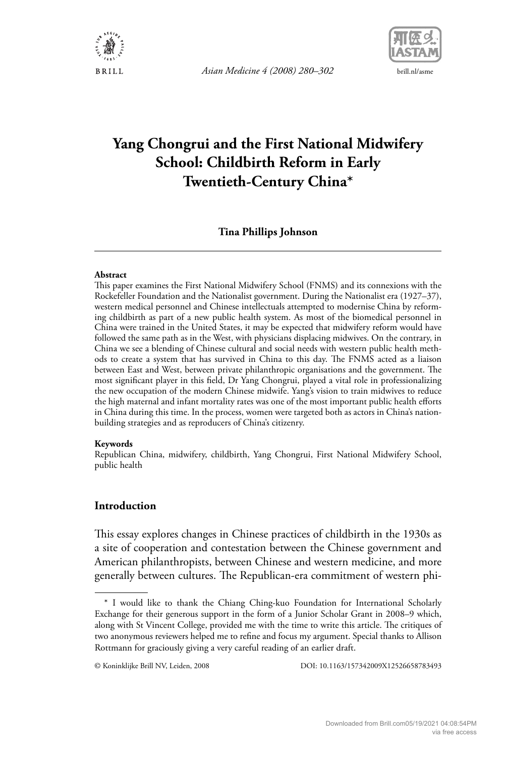



# **Yang Chongrui and the First National Midwifery School: Childbirth Reform in Early Twentieth-Century China\***

## **Tina Phillips Johnson**

#### **Abstract**

This paper examines the First National Midwifery School (FNMS) and its connexions with the Rockefeller Foundation and the Nationalist government. During the Nationalist era (1927–37), western medical personnel and Chinese intellectuals attempted to modernise China by reforming childbirth as part of a new public health system. As most of the biomedical personnel in China were trained in the United States, it may be expected that midwifery reform would have followed the same path as in the West, with physicians displacing midwives. On the contrary, in China we see a blending of Chinese cultural and social needs with western public health methods to create a system that has survived in China to this day. The FNMS acted as a liaison between East and West, between private philanthropic organisations and the government. The most significant player in this field, Dr Yang Chongrui, played a vital role in professionalizing the new occupation of the modern Chinese midwife. Yang's vision to train midwives to reduce the high maternal and infant mortality rates was one of the most important public health efforts in China during this time. In the process, women were targeted both as actors in China's nationbuilding strategies and as reproducers of China's citizenry.

#### **Keywords**

Republican China, midwifery, childbirth, Yang Chongrui, First National Midwifery School, public health

# **Introduction**

This essay explores changes in Chinese practices of childbirth in the 1930s as a site of cooperation and contestation between the Chinese government and American philanthropists, between Chinese and western medicine, and more generally between cultures. The Republican-era commitment of western phi-

© Koninklijke Brill NV, Leiden, 2008 DOI: 10.1163/157342009X12526658783493

<sup>\*</sup> I would like to thank the Chiang Ching-kuo Foundation for International Scholarly Exchange for their generous support in the form of a Junior Scholar Grant in 2008–9 which, along with St Vincent College, provided me with the time to write this article. The critiques of two anonymous reviewers helped me to refine and focus my argument. Special thanks to Allison Rottmann for graciously giving a very careful reading of an earlier draft.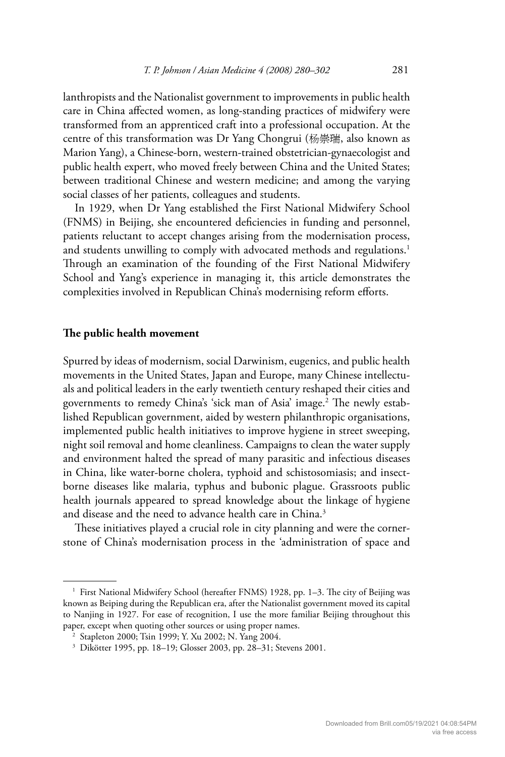lanthropists and the Nationalist government to improvements in public health care in China affected women, as long-standing practices of midwifery were transformed from an apprenticed craft into a professional occupation. At the centre of this transformation was Dr Yang Chongrui (杨崇瑞, also known as Marion Yang), a Chinese-born, western-trained obstetrician-gynaecologist and public health expert, who moved freely between China and the United States; between traditional Chinese and western medicine; and among the varying social classes of her patients, colleagues and students.

In 1929, when Dr Yang established the First National Midwifery School (FNMS) in Beijing, she encountered deficiencies in funding and personnel, patients reluctant to accept changes arising from the modernisation process, and students unwilling to comply with advocated methods and regulations.<sup>1</sup> Through an examination of the founding of the First National Midwifery School and Yang's experience in managing it, this article demonstrates the complexities involved in Republican China's modernising reform efforts.

## The public health movement

Spurred by ideas of modernism, social Darwinism, eugenics, and public health movements in the United States, Japan and Europe, many Chinese intellectuals and political leaders in the early twentieth century reshaped their cities and governments to remedy China's 'sick man of Asia' image.<sup>2</sup> The newly established Republican government, aided by western philanthropic organisations, implemented public health initiatives to improve hygiene in street sweeping, night soil removal and home cleanliness. Campaigns to clean the water supply and environment halted the spread of many parasitic and infectious diseases in China, like water-borne cholera, typhoid and schistosomiasis; and insectborne diseases like malaria, typhus and bubonic plague. Grassroots public health journals appeared to spread knowledge about the linkage of hygiene and disease and the need to advance health care in China.3

These initiatives played a crucial role in city planning and were the cornerstone of China's modernisation process in the 'administration of space and

<sup>&</sup>lt;sup>1</sup> First National Midwifery School (hereafter FNMS) 1928, pp. 1–3. The city of Beijing was known as Beiping during the Republican era, after the Nationalist government moved its capital to Nanjing in 1927. For ease of recognition, I use the more familiar Beijing throughout this paper, except when quoting other sources or using proper names. 2

<sup>&</sup>lt;sup>2</sup> Stapleton 2000; Tsin 1999; Y. Xu 2002; N. Yang 2004.

<sup>3</sup> Dikötter 1995, pp. 18–19; Glosser 2003, pp. 28–31; Stevens 2001.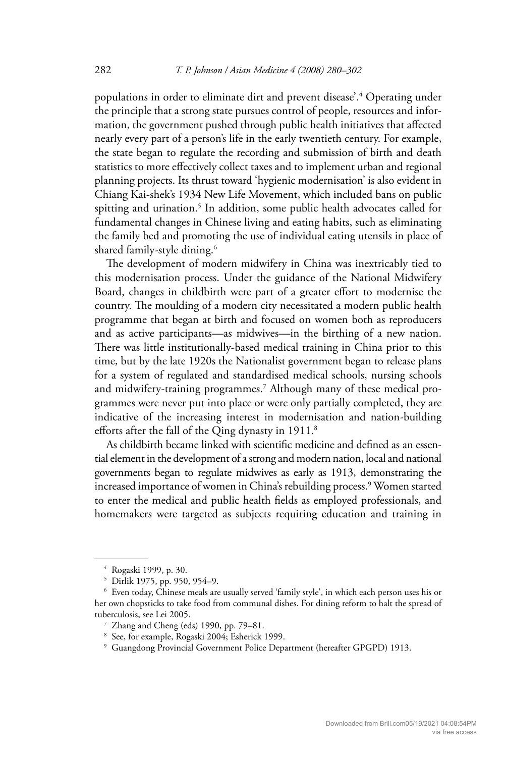populations in order to eliminate dirt and prevent disease'.4 Operating under the principle that a strong state pursues control of people, resources and information, the government pushed through public health initiatives that affected nearly every part of a person's life in the early twentieth century. For example, the state began to regulate the recording and submission of birth and death statistics to more effectively collect taxes and to implement urban and regional planning projects. Its thrust toward 'hygienic modernisation' is also evident in Chiang Kai-shek's 1934 New Life Movement, which included bans on public spitting and urination.5 In addition, some public health advocates called for fundamental changes in Chinese living and eating habits, such as eliminating the family bed and promoting the use of individual eating utensils in place of shared family-style dining.<sup>6</sup>

The development of modern midwifery in China was inextricably tied to this modernisation process. Under the guidance of the National Midwifery Board, changes in childbirth were part of a greater effort to modernise the country. The moulding of a modern city necessitated a modern public health programme that began at birth and focused on women both as reproducers and as active participants—as midwives—in the birthing of a new nation. There was little institutionally-based medical training in China prior to this time, but by the late 1920s the Nationalist government began to release plans for a system of regulated and standardised medical schools, nursing schools and midwifery-training programmes.7 Although many of these medical programmes were never put into place or were only partially completed, they are indicative of the increasing interest in modernisation and nation-building efforts after the fall of the Qing dynasty in 1911.<sup>8</sup>

As childbirth became linked with scientific medicine and defined as an essential element in the development of a strong and modern nation, local and national governments began to regulate midwives as early as 1913, demonstrating the increased importance of women in China's rebuilding process.9 Women started to enter the medical and public health fields as employed professionals, and homemakers were targeted as subjects requiring education and training in

<sup>4</sup> Rogaski 1999, p. 30.

<sup>5</sup> Dirlik 1975, pp. 950, 954–9.

<sup>6</sup> Even today, Chinese meals are usually served 'family style', in which each person uses his or her own chopsticks to take food from communal dishes. For dining reform to halt the spread of tuberculosis, see Lei 2005.

<sup>7</sup> Zhang and Cheng (eds) 1990, pp. 79–81.

<sup>8</sup> See, for example, Rogaski 2004; Esherick 1999.

<sup>9</sup> Guangdong Provincial Government Police Department (hereafter GPGPD) 1913.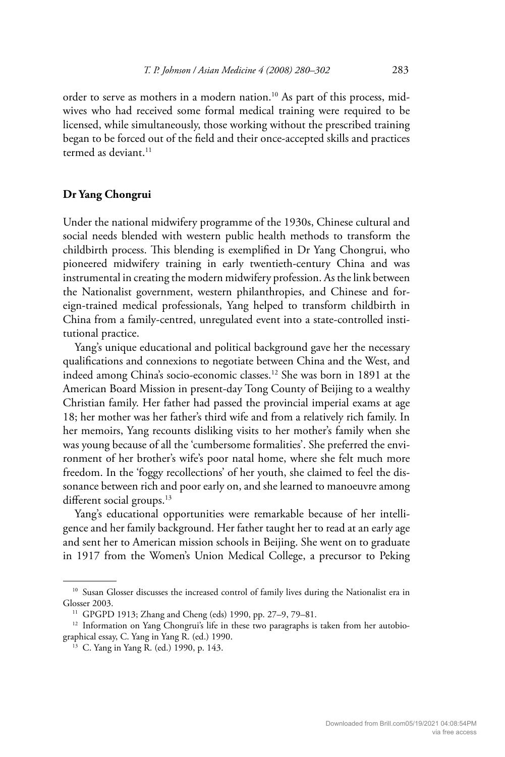order to serve as mothers in a modern nation.<sup>10</sup> As part of this process, midwives who had received some formal medical training were required to be licensed, while simultaneously, those working without the prescribed training began to be forced out of the field and their once-accepted skills and practices termed as deviant. $11$ 

# **Dr Yang Chongrui**

Under the national midwifery programme of the 1930s, Chinese cultural and social needs blended with western public health methods to transform the childbirth process. This blending is exemplified in Dr Yang Chongrui, who pioneered midwifery training in early twentieth-century China and was instrumental in creating the modern midwifery profession. As the link between the Nationalist government, western philanthropies, and Chinese and foreign-trained medical professionals, Yang helped to transform childbirth in China from a family-centred, unregulated event into a state-controlled institutional practice.

Yang's unique educational and political background gave her the necessary qualifications and connexions to negotiate between China and the West, and indeed among China's socio-economic classes.12 She was born in 1891 at the American Board Mission in present-day Tong County of Beijing to a wealthy Christian family. Her father had passed the provincial imperial exams at age 18; her mother was her father's third wife and from a relatively rich family. In her memoirs, Yang recounts disliking visits to her mother's family when she was young because of all the 'cumbersome formalities'. She preferred the environment of her brother's wife's poor natal home, where she felt much more freedom. In the 'foggy recollections' of her youth, she claimed to feel the dissonance between rich and poor early on, and she learned to manoeuvre among different social groups.<sup>13</sup>

Yang's educational opportunities were remarkable because of her intelligence and her family background. Her father taught her to read at an early age and sent her to American mission schools in Beijing. She went on to graduate in 1917 from the Women's Union Medical College, a precursor to Peking

<sup>&</sup>lt;sup>10</sup> Susan Glosser discusses the increased control of family lives during the Nationalist era in Glosser 2003.

<sup>11</sup> GPGPD 1913; Zhang and Cheng (eds) 1990, pp. 27–9, 79–81.

<sup>&</sup>lt;sup>12</sup> Information on Yang Chongrui's life in these two paragraphs is taken from her autobiographical essay, C. Yang in Yang R. (ed.) 1990.

<sup>13</sup> C. Yang in Yang R. (ed.) 1990, p. 143.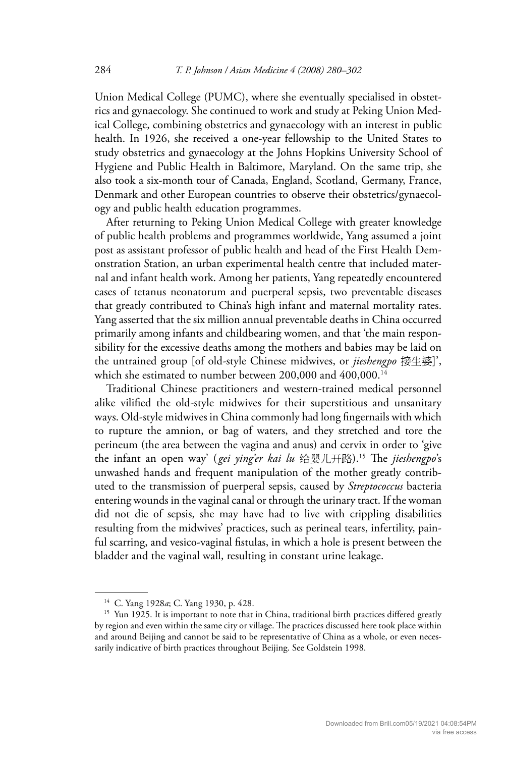Union Medical College (PUMC), where she eventually specialised in obstetrics and gynaecology. She continued to work and study at Peking Union Medical College, combining obstetrics and gynaecology with an interest in public health. In 1926, she received a one-year fellowship to the United States to study obstetrics and gynaecology at the Johns Hopkins University School of Hygiene and Public Health in Baltimore, Maryland. On the same trip, she also took a six-month tour of Canada, England, Scotland, Germany, France, Denmark and other European countries to observe their obstetrics/gynaecology and public health education programmes.

After returning to Peking Union Medical College with greater knowledge of public health problems and programmes worldwide, Yang assumed a joint post as assistant professor of public health and head of the First Health Demonstration Station, an urban experimental health centre that included maternal and infant health work. Among her patients, Yang repeatedly encountered cases of tetanus neonatorum and puerperal sepsis, two preventable diseases that greatly contributed to China's high infant and maternal mortality rates. Yang asserted that the six million annual preventable deaths in China occurred primarily among infants and childbearing women, and that 'the main responsibility for the excessive deaths among the mothers and babies may be laid on the untrained group [of old-style Chinese midwives, or *jieshengpo* 接生婆]', which she estimated to number between 200,000 and 400,000.<sup>14</sup>

Traditional Chinese practitioners and western-trained medical personnel alike vilified the old-style midwives for their superstitious and unsanitary ways. Old-style midwives in China commonly had long fingernails with which to rupture the amnion, or bag of waters, and they stretched and tore the perineum (the area between the vagina and anus) and cervix in order to 'give the infant an open way' (*gei ying'er kai lu* 给婴儿开路).<sup>15</sup> The *jieshengpo's* unwashed hands and frequent manipulation of the mother greatly contributed to the transmission of puerperal sepsis, caused by *Streptococcus* bacteria entering wounds in the vaginal canal or through the urinary tract. If the woman did not die of sepsis, she may have had to live with crippling disabilities resulting from the midwives' practices, such as perineal tears, infertility, painful scarring, and vesico-vaginal fistulas, in which a hole is present between the bladder and the vaginal wall, resulting in constant urine leakage.

<sup>14</sup> C. Yang 1928*a*; C. Yang 1930, p. 428.

<sup>&</sup>lt;sup>15</sup> Yun 1925. It is important to note that in China, traditional birth practices differed greatly by region and even within the same city or village. The practices discussed here took place within and around Beijing and cannot be said to be representative of China as a whole, or even necessarily indicative of birth practices throughout Beijing. See Goldstein 1998.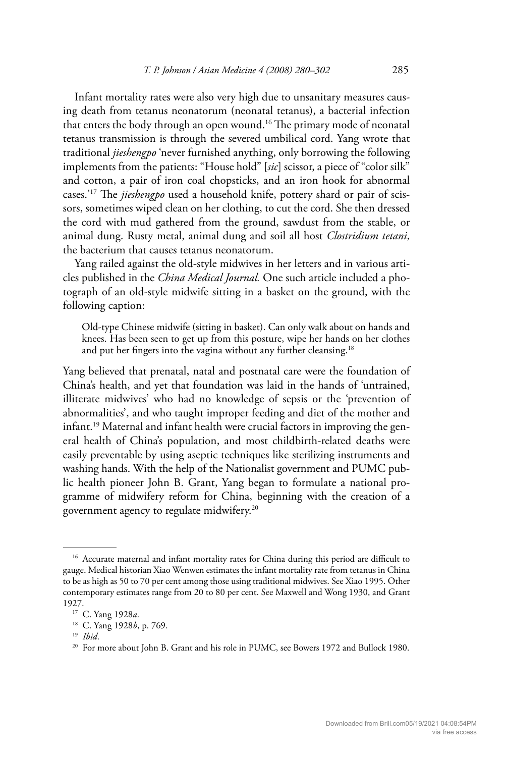Infant mortality rates were also very high due to unsanitary measures causing death from tetanus neonatorum (neonatal tetanus), a bacterial infection that enters the body through an open wound.<sup>16</sup> The primary mode of neonatal tetanus transmission is through the severed umbilical cord. Yang wrote that traditional *jieshengpo* 'never furnished anything, only borrowing the following implements from the patients: "House hold" [*sic*] scissor, a piece of "color silk" and cotton, a pair of iron coal chopsticks, and an iron hook for abnormal cases.<sup>'17</sup> The *jieshengpo* used a household knife, pottery shard or pair of scissors, sometimes wiped clean on her clothing, to cut the cord. She then dressed the cord with mud gathered from the ground, sawdust from the stable, or animal dung. Rusty metal, animal dung and soil all host *Clostridium tetani*, the bacterium that causes tetanus neonatorum.

Yang railed against the old-style midwives in her letters and in various articles published in the *China Medical Journal.* One such article included a photograph of an old-style midwife sitting in a basket on the ground, with the following caption:

Old-type Chinese midwife (sitting in basket). Can only walk about on hands and knees. Has been seen to get up from this posture, wipe her hands on her clothes and put her fingers into the vagina without any further cleansing.<sup>18</sup>

Yang believed that prenatal, natal and postnatal care were the foundation of China's health, and yet that foundation was laid in the hands of 'untrained, illiterate midwives' who had no knowledge of sepsis or the 'prevention of abnormalities', and who taught improper feeding and diet of the mother and infant.19 Maternal and infant health were crucial factors in improving the general health of China's population, and most childbirth-related deaths were easily preventable by using aseptic techniques like sterilizing instruments and washing hands. With the help of the Nationalist government and PUMC public health pioneer John B. Grant, Yang began to formulate a national programme of midwifery reform for China, beginning with the creation of a government agency to regulate midwifery.20

<sup>&</sup>lt;sup>16</sup> Accurate maternal and infant mortality rates for China during this period are difficult to gauge. Medical historian Xiao Wenwen estimates the infant mortality rate from tetanus in China to be as high as 50 to 70 per cent among those using traditional midwives. See Xiao 1995. Other contemporary estimates range from 20 to 80 per cent. See Maxwell and Wong 1930, and Grant 1927.

<sup>17</sup> C. Yang 1928*a*.

<sup>18</sup> C. Yang 1928*b*, p. 769.

<sup>19</sup> *Ibid*.

<sup>&</sup>lt;sup>20</sup> For more about John B. Grant and his role in PUMC, see Bowers 1972 and Bullock 1980.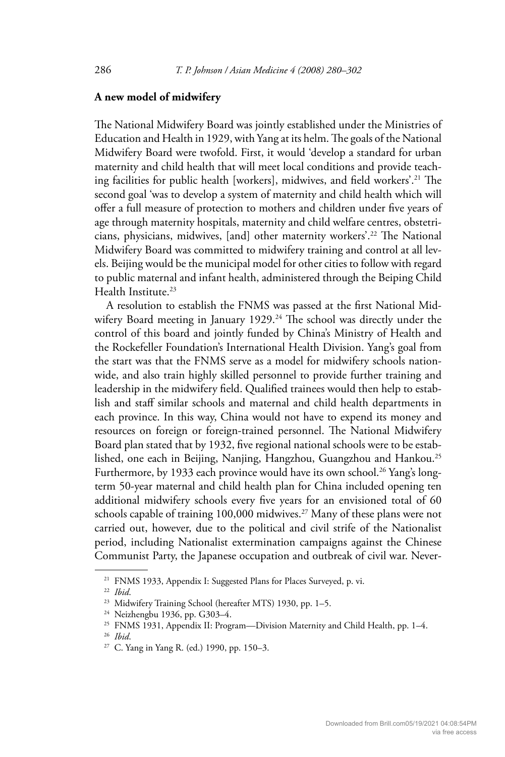# **A new model of midwifery**

The National Midwifery Board was jointly established under the Ministries of Education and Health in 1929, with Yang at its helm. The goals of the National Midwifery Board were twofold. First, it would 'develop a standard for urban maternity and child health that will meet local conditions and provide teaching facilities for public health [workers], midwives, and field workers'.<sup>21</sup> The second goal 'was to develop a system of maternity and child health which will offer a full measure of protection to mothers and children under five years of age through maternity hospitals, maternity and child welfare centres, obstetricians, physicians, midwives, [and] other maternity workers'.<sup>22</sup> The National Midwifery Board was committed to midwifery training and control at all levels. Beijing would be the municipal model for other cities to follow with regard to public maternal and infant health, administered through the Beiping Child Health Institute.<sup>23</sup>

A resolution to establish the FNMS was passed at the first National Midwifery Board meeting in January 1929.<sup>24</sup> The school was directly under the control of this board and jointly funded by China's Ministry of Health and the Rockefeller Foundation's International Health Division. Yang's goal from the start was that the FNMS serve as a model for midwifery schools nationwide, and also train highly skilled personnel to provide further training and leadership in the midwifery field. Qualified trainees would then help to establish and staff similar schools and maternal and child health departments in each province. In this way, China would not have to expend its money and resources on foreign or foreign-trained personnel. The National Midwifery Board plan stated that by 1932, five regional national schools were to be established, one each in Beijing, Nanjing, Hangzhou, Guangzhou and Hankou.25 Furthermore, by 1933 each province would have its own school.<sup>26</sup> Yang's longterm 50-year maternal and child health plan for China included opening ten additional midwifery schools every five years for an envisioned total of 60 schools capable of training 100,000 midwives.<sup>27</sup> Many of these plans were not carried out, however, due to the political and civil strife of the Nationalist period, including Nationalist extermination campaigns against the Chinese Communist Party, the Japanese occupation and outbreak of civil war. Never-

<sup>21</sup> FNMS 1933, Appendix I: Suggested Plans for Places Surveyed, p. vi.

<sup>22</sup> *Ibid*.

<sup>23</sup> Midwifery Training School (hereafter MTS) 1930, pp. 1–5.

<sup>24</sup> Neizhengbu 1936, pp. G303–4.

<sup>&</sup>lt;sup>25</sup> FNMS 1931, Appendix II: Program—Division Maternity and Child Health, pp. 1-4.

<sup>26</sup> *Ibid*.

<sup>27</sup> C. Yang in Yang R. (ed.) 1990, pp. 150–3.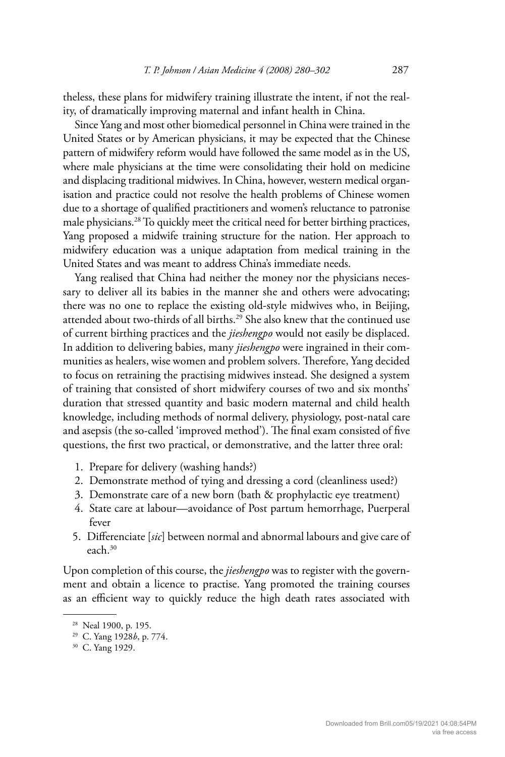theless, these plans for midwifery training illustrate the intent, if not the reality, of dramatically improving maternal and infant health in China.

Since Yang and most other biomedical personnel in China were trained in the United States or by American physicians, it may be expected that the Chinese pattern of midwifery reform would have followed the same model as in the US, where male physicians at the time were consolidating their hold on medicine and displacing traditional midwives. In China, however, western medical organisation and practice could not resolve the health problems of Chinese women due to a shortage of qualified practitioners and women's reluctance to patronise male physicians.28 To quickly meet the critical need for better birthing practices, Yang proposed a midwife training structure for the nation. Her approach to midwifery education was a unique adaptation from medical training in the United States and was meant to address China's immediate needs.

Yang realised that China had neither the money nor the physicians necessary to deliver all its babies in the manner she and others were advocating; there was no one to replace the existing old-style midwives who, in Beijing, attended about two-thirds of all births.<sup>29</sup> She also knew that the continued use of current birthing practices and the *jieshengpo* would not easily be displaced. In addition to delivering babies, many *jieshengpo* were ingrained in their communities as healers, wise women and problem solvers. Therefore, Yang decided to focus on retraining the practising midwives instead. She designed a system of training that consisted of short midwifery courses of two and six months' duration that stressed quantity and basic modern maternal and child health knowledge, including methods of normal delivery, physiology, post-natal care and asepsis (the so-called 'improved method'). The final exam consisted of five questions, the first two practical, or demonstrative, and the latter three oral:

- 1. Prepare for delivery (washing hands?)
- 2. Demonstrate method of tying and dressing a cord (cleanliness used?)
- 3. Demonstrate care of a new born (bath & prophylactic eye treatment)
- 4. State care at labour—avoidance of Post partum hemorrhage, Puerperal fever
- 5. Differenciate [sic] between normal and abnormal labours and give care of each  $30$

Upon completion of this course, the *jieshengpo* was to register with the government and obtain a licence to practise. Yang promoted the training courses as an efficient way to quickly reduce the high death rates associated with

<sup>28</sup> Neal 1900, p. 195.

<sup>29</sup> C. Yang 1928*b*, p. 774.

<sup>30</sup> C. Yang 1929.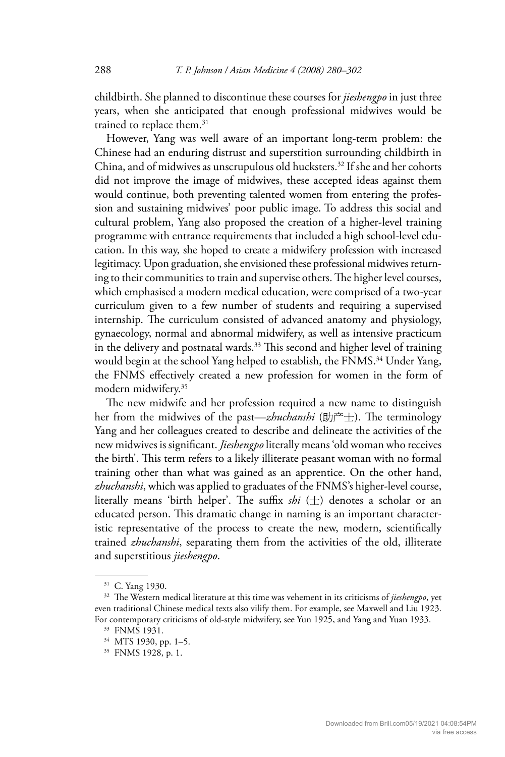childbirth. She planned to discontinue these courses for *jieshengpo* in just three years, when she anticipated that enough professional midwives would be trained to replace them.<sup>31</sup>

However, Yang was well aware of an important long-term problem: the Chinese had an enduring distrust and superstition surrounding childbirth in China, and of midwives as unscrupulous old hucksters.<sup>32</sup> If she and her cohorts did not improve the image of midwives, these accepted ideas against them would continue, both preventing talented women from entering the profession and sustaining midwives' poor public image. To address this social and cultural problem, Yang also proposed the creation of a higher-level training programme with entrance requirements that included a high school-level education. In this way, she hoped to create a midwifery profession with increased legitimacy. Upon graduation, she envisioned these professional midwives returning to their communities to train and supervise others. The higher level courses, which emphasised a modern medical education, were comprised of a two-year curriculum given to a few number of students and requiring a supervised internship. The curriculum consisted of advanced anatomy and physiology, gynaecology, normal and abnormal midwifery, as well as intensive practicum in the delivery and postnatal wards.<sup>33</sup> This second and higher level of training would begin at the school Yang helped to establish, the FNMS.<sup>34</sup> Under Yang, the FNMS effectively created a new profession for women in the form of modern midwifery.35

The new midwife and her profession required a new name to distinguish her from the midwives of the past—*zhuchanshi* (助产士). The terminology Yang and her colleagues created to describe and delineate the activities of the new midwives is significant. *Jieshengpo* literally means 'old woman who receives the birth'. This term refers to a likely illiterate peasant woman with no formal training other than what was gained as an apprentice. On the other hand, *zhuchanshi*, which was applied to graduates of the FNMS's higher-level course, literally means 'birth helper'. The suffix *shi* ( $\pm$ ) denotes a scholar or an educated person. This dramatic change in naming is an important characteristic representative of the process to create the new, modern, scientifically trained *zhuchanshi*, separating them from the activities of the old, illiterate and superstitious *jieshengpo*.

<sup>&</sup>lt;sup>31</sup> C. Yang 1930.

<sup>&</sup>lt;sup>32</sup> The Western medical literature at this time was vehement in its criticisms of *jieshengpo*, yet even traditional Chinese medical texts also vilify them. For example, see Maxwell and Liu 1923. For contemporary criticisms of old-style midwifery, see Yun 1925, and Yang and Yuan 1933.

<sup>33</sup> FNMS 1931.

<sup>34</sup> MTS 1930, pp. 1–5.

<sup>35</sup> FNMS 1928, p. 1.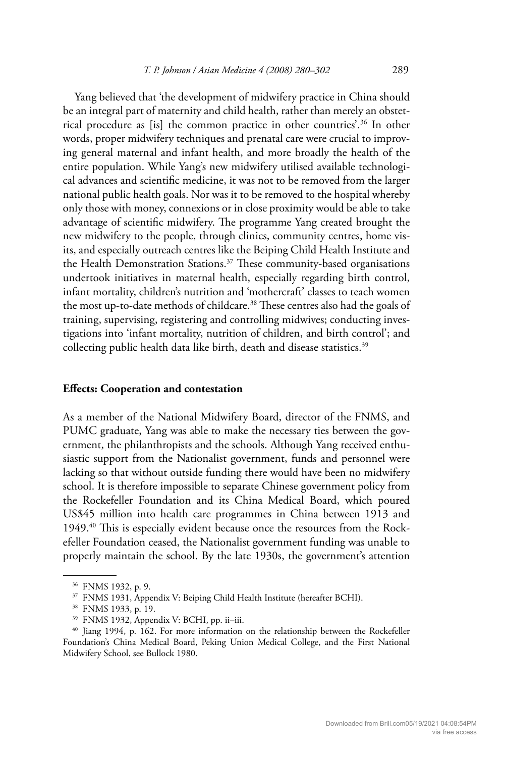Yang believed that 'the development of midwifery practice in China should be an integral part of maternity and child health, rather than merely an obstetrical procedure as [is] the common practice in other countries'.36 In other words, proper midwifery techniques and prenatal care were crucial to improving general maternal and infant health, and more broadly the health of the entire population. While Yang's new midwifery utilised available technological advances and scientific medicine, it was not to be removed from the larger national public health goals. Nor was it to be removed to the hospital whereby only those with money, connexions or in close proximity would be able to take advantage of scientific midwifery. The programme Yang created brought the new midwifery to the people, through clinics, community centres, home visits, and especially outreach centres like the Beiping Child Health Institute and the Health Demonstration Stations.<sup>37</sup> These community-based organisations undertook initiatives in maternal health, especially regarding birth control, infant mortality, children's nutrition and 'mothercraft' classes to teach women the most up-to-date methods of childcare.<sup>38</sup> These centres also had the goals of training, supervising, registering and controlling midwives; conducting investigations into 'infant mortality, nutrition of children, and birth control'; and collecting public health data like birth, death and disease statistics.<sup>39</sup>

# **Effects: Cooperation and contestation**

As a member of the National Midwifery Board, director of the FNMS, and PUMC graduate, Yang was able to make the necessary ties between the government, the philanthropists and the schools. Although Yang received enthusiastic support from the Nationalist government, funds and personnel were lacking so that without outside funding there would have been no midwifery school. It is therefore impossible to separate Chinese government policy from the Rockefeller Foundation and its China Medical Board, which poured US\$45 million into health care programmes in China between 1913 and 1949.<sup>40</sup> This is especially evident because once the resources from the Rockefeller Foundation ceased, the Nationalist government funding was unable to properly maintain the school. By the late 1930s, the government's attention

<sup>36</sup> FNMS 1932, p. 9.

<sup>37</sup> FNMS 1931, Appendix V: Beiping Child Health Institute (hereafter BCHI).

<sup>38</sup> FNMS 1933, p. 19.

<sup>39</sup> FNMS 1932, Appendix V: BCHI, pp. ii–iii.

<sup>40</sup> Jiang 1994, p. 162. For more information on the relationship between the Rockefeller Foundation's China Medical Board, Peking Union Medical College, and the First National Midwifery School, see Bullock 1980.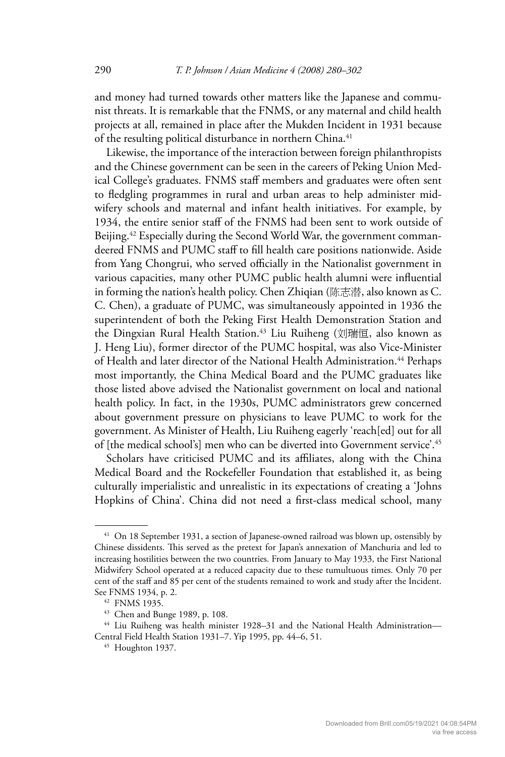and money had turned towards other matters like the Japanese and communist threats. It is remarkable that the FNMS, or any maternal and child health projects at all, remained in place after the Mukden Incident in 1931 because of the resulting political disturbance in northern China.<sup>41</sup>

Likewise, the importance of the interaction between foreign philanthropists and the Chinese government can be seen in the careers of Peking Union Medical College's graduates. FNMS staff members and graduates were often sent to fledgling programmes in rural and urban areas to help administer midwifery schools and maternal and infant health initiatives. For example, by 1934, the entire senior staff of the FNMS had been sent to work outside of Beijing.<sup>42</sup> Especially during the Second World War, the government commandeered FNMS and PUMC staff to fill health care positions nationwide. Aside from Yang Chongrui, who served officially in the Nationalist government in various capacities, many other PUMC public health alumni were influential in forming the nation's health policy. Chen Zhiqian (陈志潜, also known as C. C. Chen), a graduate of PUMC, was simultaneously appointed in 1936 the superintendent of both the Peking First Health Demonstration Station and the Dingxian Rural Health Station.<sup>43</sup> Liu Ruiheng (刘瑞恒, also known as J. Heng Liu), former director of the PUMC hospital, was also Vice-Minister of Health and later director of the National Health Administration.<sup>44</sup> Perhaps most importantly, the China Medical Board and the PUMC graduates like those listed above advised the Nationalist government on local and national health policy. In fact, in the 1930s, PUMC administrators grew concerned about government pressure on physicians to leave PUMC to work for the government. As Minister of Health, Liu Ruiheng eagerly 'reach[ed] out for all of [the medical school's] men who can be diverted into Government service'.45

Scholars have criticised PUMC and its affiliates, along with the China Medical Board and the Rockefeller Foundation that established it, as being culturally imperialistic and unrealistic in its expectations of creating a 'Johns Hopkins of China'. China did not need a first-class medical school, many

<sup>41</sup> On 18 September 1931, a section of Japanese-owned railroad was blown up, ostensibly by Chinese dissidents. This served as the pretext for Japan's annexation of Manchuria and led to increasing hostilities between the two countries. From January to May 1933, the First National Midwifery School operated at a reduced capacity due to these tumultuous times. Only 70 per cent of the staff and 85 per cent of the students remained to work and study after the Incident. See FNMS 1934, p. 2.

<sup>42</sup> FNMS 1935.

<sup>43</sup> Chen and Bunge 1989, p. 108.

<sup>&</sup>lt;sup>44</sup> Liu Ruiheng was health minister 1928-31 and the National Health Administration-Central Field Health Station 1931–7. Yip 1995, pp. 44–6, 51. 45 Houghton 1937.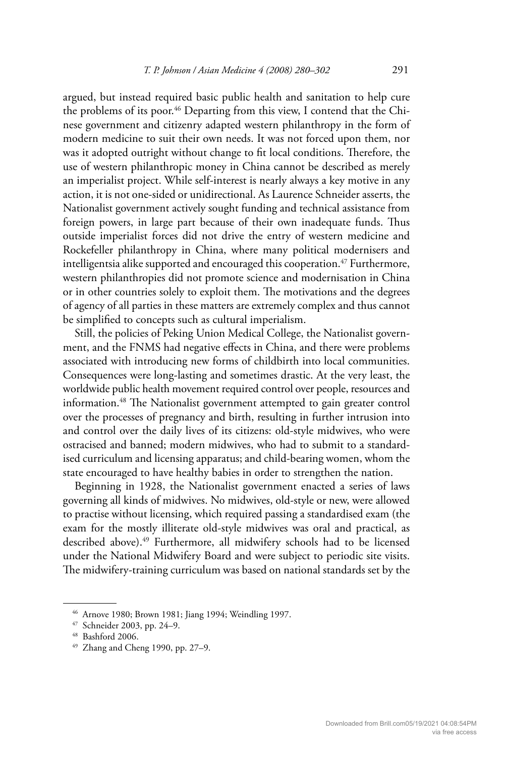argued, but instead required basic public health and sanitation to help cure the problems of its poor.<sup>46</sup> Departing from this view, I contend that the Chinese government and citizenry adapted western philanthropy in the form of modern medicine to suit their own needs. It was not forced upon them, nor was it adopted outright without change to fit local conditions. Therefore, the use of western philanthropic money in China cannot be described as merely an imperialist project. While self-interest is nearly always a key motive in any action, it is not one-sided or unidirectional. As Laurence Schneider asserts, the Nationalist government actively sought funding and technical assistance from foreign powers, in large part because of their own inadequate funds. Thus outside imperialist forces did not drive the entry of western medicine and Rockefeller philanthropy in China, where many political modernisers and intelligentsia alike supported and encouraged this cooperation.<sup>47</sup> Furthermore, western philanthropies did not promote science and modernisation in China or in other countries solely to exploit them. The motivations and the degrees of agency of all parties in these matters are extremely complex and thus cannot be simplified to concepts such as cultural imperialism.

Still, the policies of Peking Union Medical College, the Nationalist government, and the FNMS had negative effects in China, and there were problems associated with introducing new forms of childbirth into local communities. Consequences were long-lasting and sometimes drastic. At the very least, the worldwide public health movement required control over people, resources and information.<sup>48</sup> The Nationalist government attempted to gain greater control over the processes of pregnancy and birth, resulting in further intrusion into and control over the daily lives of its citizens: old-style midwives, who were ostracised and banned; modern midwives, who had to submit to a standardised curriculum and licensing apparatus; and child-bearing women, whom the state encouraged to have healthy babies in order to strengthen the nation.

Beginning in 1928, the Nationalist government enacted a series of laws governing all kinds of midwives. No midwives, old-style or new, were allowed to practise without licensing, which required passing a standardised exam (the exam for the mostly illiterate old-style midwives was oral and practical, as described above).<sup>49</sup> Furthermore, all midwifery schools had to be licensed under the National Midwifery Board and were subject to periodic site visits. The midwifery-training curriculum was based on national standards set by the

<sup>46</sup> Arnove 1980; Brown 1981; Jiang 1994; Weindling 1997.

<sup>47</sup> Schneider 2003, pp. 24–9.

<sup>48</sup> Bashford 2006.

<sup>49</sup> Zhang and Cheng 1990, pp. 27–9.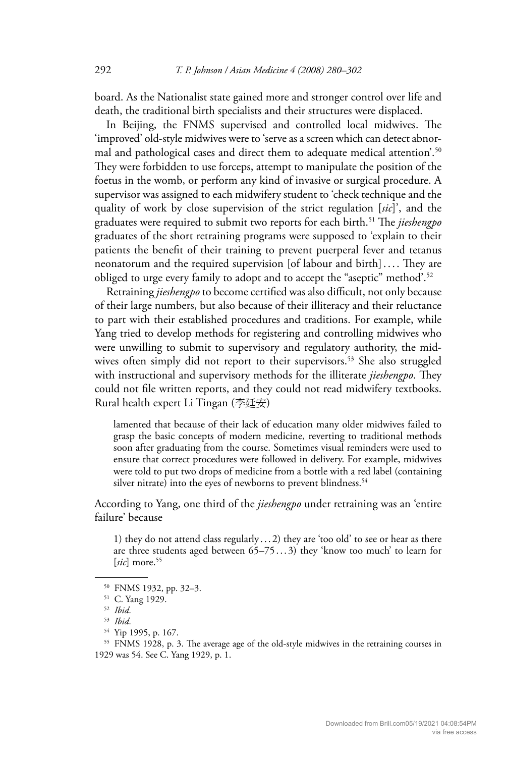board. As the Nationalist state gained more and stronger control over life and death, the traditional birth specialists and their structures were displaced.

In Beijing, the FNMS supervised and controlled local midwives. The 'improved' old-style midwives were to 'serve as a screen which can detect abnormal and pathological cases and direct them to adequate medical attention'.50 They were forbidden to use forceps, attempt to manipulate the position of the foetus in the womb, or perform any kind of invasive or surgical procedure. A supervisor was assigned to each midwifery student to 'check technique and the quality of work by close supervision of the strict regulation [*sic*]', and the graduates were required to submit two reports for each birth.<sup>51</sup> The *jieshengpo* graduates of the short retraining programs were supposed to 'explain to their patients the benefit of their training to prevent puerperal fever and tetanus neonatorum and the required supervision [of labour and birth].... They are obliged to urge every family to adopt and to accept the "aseptic" method'.<sup>52</sup>

Retraining *jieshengpo* to become certified was also difficult, not only because of their large numbers, but also because of their illiteracy and their reluctance to part with their established procedures and traditions. For example, while Yang tried to develop methods for registering and controlling midwives who were unwilling to submit to supervisory and regulatory authority, the midwives often simply did not report to their supervisors.<sup>53</sup> She also struggled with instructional and supervisory methods for the illiterate *jieshengpo*. They could not file written reports, and they could not read midwifery textbooks. Rural health expert Li Tingan (李廷安)

lamented that because of their lack of education many older midwives failed to grasp the basic concepts of modern medicine, reverting to traditional methods soon after graduating from the course. Sometimes visual reminders were used to ensure that correct procedures were followed in delivery. For example, midwives were told to put two drops of medicine from a bottle with a red label (containing silver nitrate) into the eyes of newborns to prevent blindness.<sup>54</sup>

According to Yang, one third of the *jieshengpo* under retraining was an 'entire failure' because

1) they do not attend class regularly  $\dots$  2) they are 'too old' to see or hear as there are three students aged between  $65-75...3$ ) they 'know too much' to learn for [sic] more.<sup>55</sup>

<sup>50</sup> FNMS 1932, pp. 32–3.

<sup>51</sup> C. Yang 1929.

<sup>52</sup> *Ibid*.

<sup>53</sup> *Ibid*.

<sup>54</sup> Yip 1995, p. 167.

<sup>&</sup>lt;sup>55</sup> FNMS 1928, p. 3. The average age of the old-style midwives in the retraining courses in 1929 was 54. See C. Yang 1929, p. 1.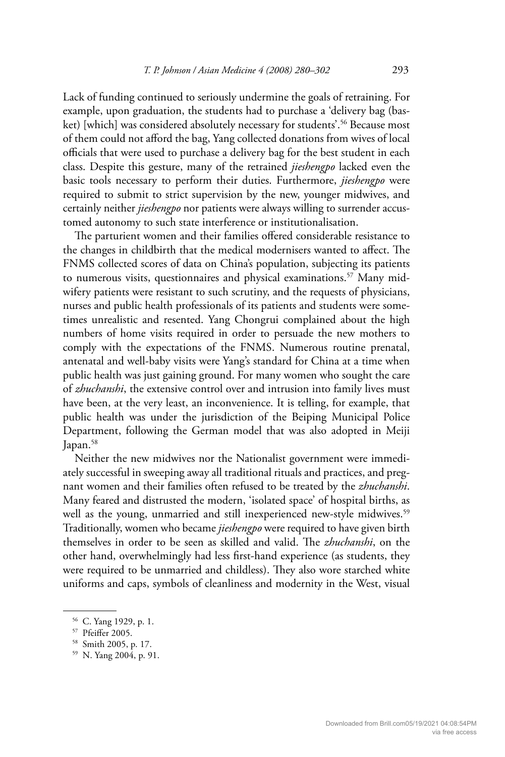Lack of funding continued to seriously undermine the goals of retraining. For example, upon graduation, the students had to purchase a 'delivery bag (basket) [which] was considered absolutely necessary for students'.<sup>56</sup> Because most of them could not afford the bag, Yang collected donations from wives of local officials that were used to purchase a delivery bag for the best student in each class. Despite this gesture, many of the retrained *jieshengpo* lacked even the basic tools necessary to perform their duties. Furthermore, *jieshengpo* were required to submit to strict supervision by the new, younger midwives, and certainly neither *jieshengpo* nor patients were always willing to surrender accustomed autonomy to such state interference or institutionalisation.

The parturient women and their families offered considerable resistance to the changes in childbirth that the medical modernisers wanted to affect. The FNMS collected scores of data on China's population, subjecting its patients to numerous visits, questionnaires and physical examinations.<sup>57</sup> Many midwifery patients were resistant to such scrutiny, and the requests of physicians, nurses and public health professionals of its patients and students were sometimes unrealistic and resented. Yang Chongrui complained about the high numbers of home visits required in order to persuade the new mothers to comply with the expectations of the FNMS. Numerous routine prenatal, antenatal and well-baby visits were Yang's standard for China at a time when public health was just gaining ground. For many women who sought the care of *zhuchanshi*, the extensive control over and intrusion into family lives must have been, at the very least, an inconvenience. It is telling, for example, that public health was under the jurisdiction of the Beiping Municipal Police Department, following the German model that was also adopted in Meiji Japan.<sup>58</sup>

Neither the new midwives nor the Nationalist government were immediately successful in sweeping away all traditional rituals and practices, and pregnant women and their families often refused to be treated by the *zhuchanshi*. Many feared and distrusted the modern, 'isolated space' of hospital births, as well as the young, unmarried and still inexperienced new-style midwives.<sup>59</sup> Traditionally, women who became *jieshengpo* were required to have given birth themselves in order to be seen as skilled and valid. The *zhuchanshi*, on the other hand, overwhelmingly had less first-hand experience (as students, they were required to be unmarried and childless). They also wore starched white uniforms and caps, symbols of cleanliness and modernity in the West, visual

<sup>&</sup>lt;sup>56</sup> C. Yang 1929, p. 1.<br><sup>57</sup> Pfeiffer 2005.

<sup>58</sup> Smith 2005, p. 17.

<sup>59</sup> N. Yang 2004, p. 91.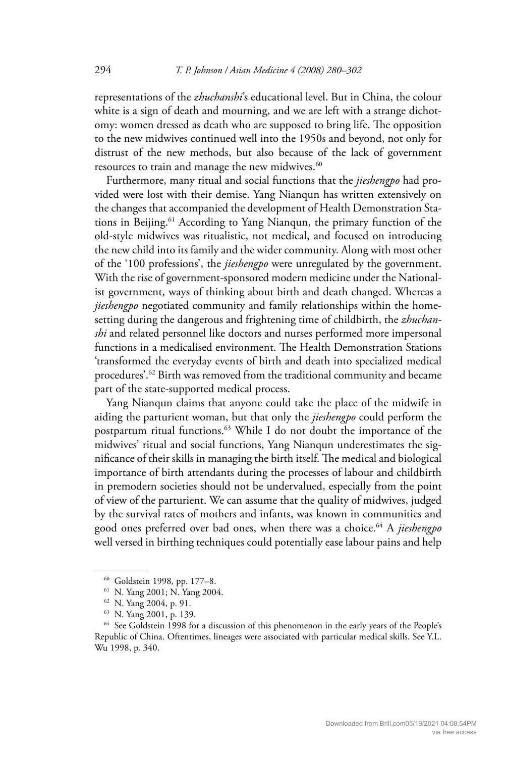representations of the *zhuchanshi*'s educational level. But in China, the colour white is a sign of death and mourning, and we are left with a strange dichotomy: women dressed as death who are supposed to bring life. The opposition to the new midwives continued well into the 1950s and beyond, not only for distrust of the new methods, but also because of the lack of government resources to train and manage the new midwives.<sup>60</sup>

Furthermore, many ritual and social functions that the *jieshengpo* had provided were lost with their demise. Yang Nianqun has written extensively on the changes that accompanied the development of Health Demonstration Stations in Beijing.<sup>61</sup> According to Yang Nianqun, the primary function of the old-style midwives was ritualistic, not medical, and focused on introducing the new child into its family and the wider community. Along with most other of the '100 professions', the *jieshengpo* were unregulated by the government. With the rise of government-sponsored modern medicine under the Nationalist government, ways of thinking about birth and death changed. Whereas a *jieshengpo* negotiated community and family relationships within the homesetting during the dangerous and frightening time of childbirth, the *zhuchanshi* and related personnel like doctors and nurses performed more impersonal functions in a medicalised environment. The Health Demonstration Stations 'transformed the everyday events of birth and death into specialized medical procedures'.62 Birth was removed from the traditional community and became part of the state-supported medical process.

Yang Nianqun claims that anyone could take the place of the midwife in aiding the parturient woman, but that only the *jieshengpo* could perform the postpartum ritual functions.63 While I do not doubt the importance of the midwives' ritual and social functions, Yang Nianqun underestimates the significance of their skills in managing the birth itself. The medical and biological importance of birth attendants during the processes of labour and childbirth in premodern societies should not be undervalued, especially from the point of view of the parturient. We can assume that the quality of midwives, judged by the survival rates of mothers and infants, was known in communities and good ones preferred over bad ones, when there was a choice.<sup>64</sup> A *jieshengpo* well versed in birthing techniques could potentially ease labour pains and help

<sup>60</sup> Goldstein 1998, pp. 177–8.

<sup>61</sup> N. Yang 2001; N. Yang 2004.

<sup>62</sup> N. Yang 2004, p. 91.

<sup>63</sup> N. Yang 2001, p. 139.

<sup>&</sup>lt;sup>64</sup> See Goldstein 1998 for a discussion of this phenomenon in the early years of the People's Republic of China. Oftentimes, lineages were associated with particular medical skills. See Y.L. Wu 1998, p. 340.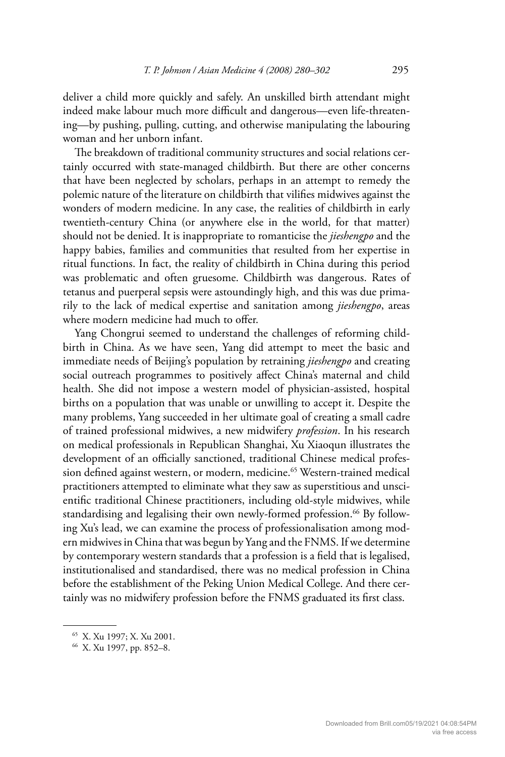deliver a child more quickly and safely. An unskilled birth attendant might indeed make labour much more difficult and dangerous—even life-threatening—by pushing, pulling, cutting, and otherwise manipulating the labouring woman and her unborn infant.

The breakdown of traditional community structures and social relations certainly occurred with state-managed childbirth. But there are other concerns that have been neglected by scholars, perhaps in an attempt to remedy the polemic nature of the literature on childbirth that vilifies midwives against the wonders of modern medicine. In any case, the realities of childbirth in early twentieth-century China (or anywhere else in the world, for that matter) should not be denied. It is inappropriate to romanticise the *jieshengpo* and the happy babies, families and communities that resulted from her expertise in ritual functions. In fact, the reality of childbirth in China during this period was problematic and often gruesome. Childbirth was dangerous. Rates of tetanus and puerperal sepsis were astoundingly high, and this was due primarily to the lack of medical expertise and sanitation among *jieshengpo*, areas where modern medicine had much to offer.

Yang Chongrui seemed to understand the challenges of reforming childbirth in China. As we have seen, Yang did attempt to meet the basic and immediate needs of Beijing's population by retraining *jieshengpo* and creating social outreach programmes to positively affect China's maternal and child health. She did not impose a western model of physician-assisted, hospital births on a population that was unable or unwilling to accept it. Despite the many problems, Yang succeeded in her ultimate goal of creating a small cadre of trained professional midwives, a new midwifery *profession*. In his research on medical professionals in Republican Shanghai, Xu Xiaoqun illustrates the development of an officially sanctioned, traditional Chinese medical profession defined against western, or modern, medicine.<sup>65</sup> Western-trained medical practitioners attempted to eliminate what they saw as superstitious and unscientific traditional Chinese practitioners, including old-style midwives, while standardising and legalising their own newly-formed profession.<sup>66</sup> By following Xu's lead, we can examine the process of professionalisation among modern midwives in China that was begun by Yang and the FNMS. If we determine by contemporary western standards that a profession is a field that is legalised, institutionalised and standardised, there was no medical profession in China before the establishment of the Peking Union Medical College. And there certainly was no midwifery profession before the FNMS graduated its first class.

<sup>65</sup> X. Xu 1997; X. Xu 2001.

<sup>66</sup> X. Xu 1997, pp. 852–8.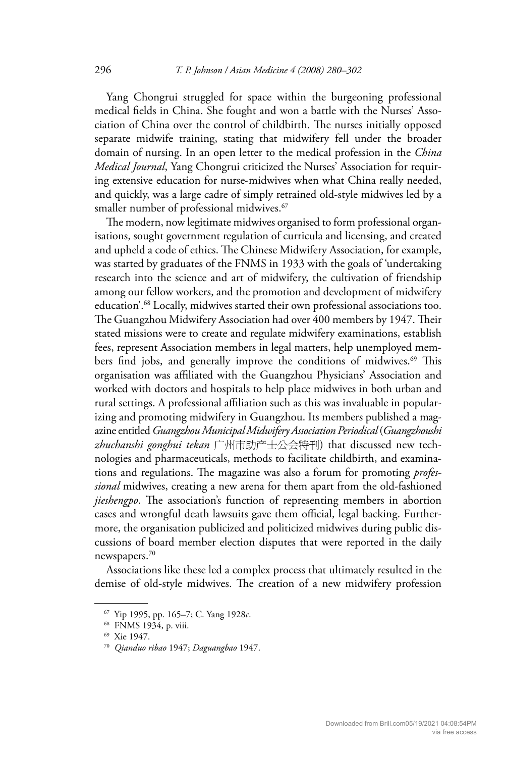Yang Chongrui struggled for space within the burgeoning professional medical fields in China. She fought and won a battle with the Nurses' Association of China over the control of childbirth. The nurses initially opposed separate midwife training, stating that midwifery fell under the broader domain of nursing. In an open letter to the medical profession in the *China Medical Journal*, Yang Chongrui criticized the Nurses' Association for requiring extensive education for nurse-midwives when what China really needed, and quickly, was a large cadre of simply retrained old-style midwives led by a smaller number of professional midwives.<sup>67</sup>

The modern, now legitimate midwives organised to form professional organisations, sought government regulation of curricula and licensing, and created and upheld a code of ethics. The Chinese Midwifery Association, for example, was started by graduates of the FNMS in 1933 with the goals of 'undertaking research into the science and art of midwifery, the cultivation of friendship among our fellow workers, and the promotion and development of midwifery education'.<sup>68</sup> Locally, midwives started their own professional associations too. The Guangzhou Midwifery Association had over 400 members by 1947. Their stated missions were to create and regulate midwifery examinations, establish fees, represent Association members in legal matters, help unemployed members find jobs, and generally improve the conditions of midwives.<sup>69</sup> This organisation was affiliated with the Guangzhou Physicians' Association and worked with doctors and hospitals to help place midwives in both urban and rural settings. A professional affiliation such as this was invaluable in popularizing and promoting midwifery in Guangzhou. Its members published a magazine entitled *Guangzhou Municipal Midwifery Association Periodical* (*Guangzhoushi zhuchanshi gonghui tekan* 广州市助产士公会特刊) that discussed new technologies and pharmaceuticals, methods to facilitate childbirth, and examinations and regulations. The magazine was also a forum for promoting *professional* midwives, creating a new arena for them apart from the old-fashioned *jieshengpo*. The association's function of representing members in abortion cases and wrongful death lawsuits gave them official, legal backing. Furthermore, the organisation publicized and politicized midwives during public discussions of board member election disputes that were reported in the daily newspapers.70

Associations like these led a complex process that ultimately resulted in the demise of old-style midwives. The creation of a new midwifery profession

<sup>67</sup> Yip 1995, pp. 165–7; C. Yang 1928*c*.

<sup>68</sup> FNMS 1934, p. viii.

<sup>69</sup> Xie 1947.

<sup>70</sup> *Qianduo ribao* 1947; *Daguangbao* 1947.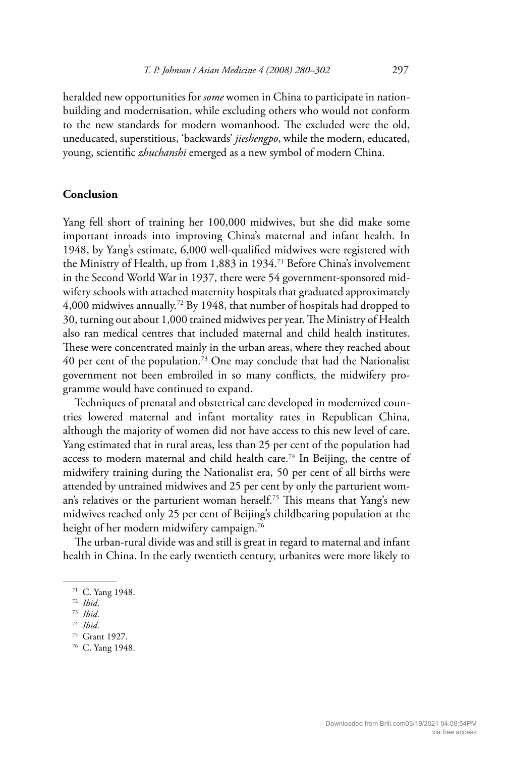heralded new opportunities for *some* women in China to participate in nationbuilding and modernisation, while excluding others who would not conform to the new standards for modern womanhood. The excluded were the old, uneducated, superstitious, 'backwards' *jieshengpo*, while the modern, educated, young, scientific *zhuchanshi* emerged as a new symbol of modern China.

# **Conclusion**

Yang fell short of training her 100,000 midwives, but she did make some important inroads into improving China's maternal and infant health. In 1948, by Yang's estimate, 6,000 well-qualified midwives were registered with the Ministry of Health, up from 1,883 in 1934.<sup>71</sup> Before China's involvement in the Second World War in 1937, there were 54 government-sponsored midwifery schools with attached maternity hospitals that graduated approximately 4,000 midwives annually.72 By 1948, that number of hospitals had dropped to 30, turning out about 1,000 trained midwives per year. The Ministry of Health also ran medical centres that included maternal and child health institutes. These were concentrated mainly in the urban areas, where they reached about 40 per cent of the population.<sup>73</sup> One may conclude that had the Nationalist government not been embroiled in so many conflicts, the midwifery programme would have continued to expand.

Techniques of prenatal and obstetrical care developed in modernized countries lowered maternal and infant mortality rates in Republican China, although the majority of women did not have access to this new level of care. Yang estimated that in rural areas, less than 25 per cent of the population had access to modern maternal and child health care.<sup>74</sup> In Beijing, the centre of midwifery training during the Nationalist era, 50 per cent of all births were attended by untrained midwives and 25 per cent by only the parturient woman's relatives or the parturient woman herself.<sup>75</sup> This means that Yang's new midwives reached only 25 per cent of Beijing's childbearing population at the height of her modern midwifery campaign.<sup>76</sup>

The urban-rural divide was and still is great in regard to maternal and infant health in China. In the early twentieth century, urbanites were more likely to

<sup>71</sup> C. Yang 1948.

<sup>72</sup> *Ibid*.

<sup>73</sup> *Ibid*.

<sup>74</sup> *Ibid*.

<sup>75</sup> Grant 1927.

<sup>76</sup> C. Yang 1948.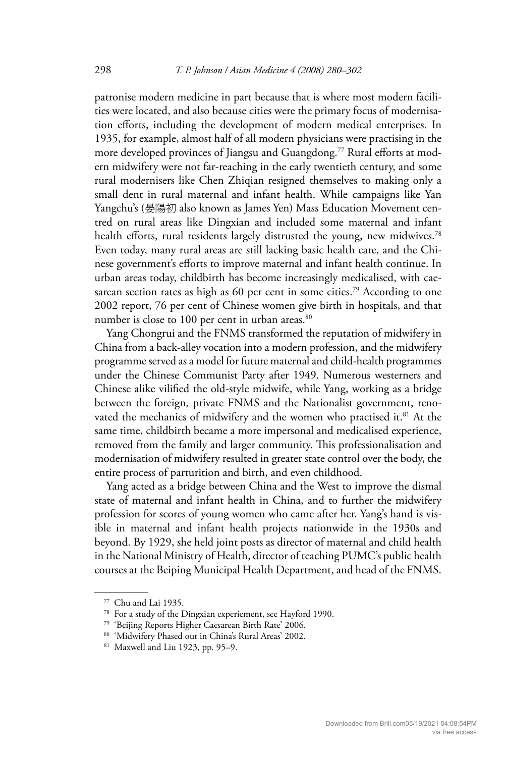patronise modern medicine in part because that is where most modern facilities were located, and also because cities were the primary focus of modernisation efforts, including the development of modern medical enterprises. In 1935, for example, almost half of all modern physicians were practising in the more developed provinces of Jiangsu and Guangdong.<sup>77</sup> Rural efforts at modern midwifery were not far-reaching in the early twentieth century, and some rural modernisers like Chen Zhiqian resigned themselves to making only a small dent in rural maternal and infant health. While campaigns like Yan Yangchu's (晏陽初 also known as James Yen) Mass Education Movement centred on rural areas like Dingxian and included some maternal and infant health efforts, rural residents largely distrusted the young, new midwives.<sup>78</sup> Even today, many rural areas are still lacking basic health care, and the Chinese government's efforts to improve maternal and infant health continue. In urban areas today, childbirth has become increasingly medicalised, with caesarean section rates as high as  $60$  per cent in some cities.<sup>79</sup> According to one 2002 report, 76 per cent of Chinese women give birth in hospitals, and that number is close to 100 per cent in urban areas.<sup>80</sup>

Yang Chongrui and the FNMS transformed the reputation of midwifery in China from a back-alley vocation into a modern profession, and the midwifery programme served as a model for future maternal and child-health programmes under the Chinese Communist Party after 1949. Numerous westerners and Chinese alike vilified the old-style midwife, while Yang, working as a bridge between the foreign, private FNMS and the Nationalist government, renovated the mechanics of midwifery and the women who practised it.<sup>81</sup> At the same time, childbirth became a more impersonal and medicalised experience, removed from the family and larger community. This professionalisation and modernisation of midwifery resulted in greater state control over the body, the entire process of parturition and birth, and even childhood.

Yang acted as a bridge between China and the West to improve the dismal state of maternal and infant health in China, and to further the midwifery profession for scores of young women who came after her. Yang's hand is visible in maternal and infant health projects nationwide in the 1930s and beyond. By 1929, she held joint posts as director of maternal and child health in the National Ministry of Health, director of teaching PUMC's public health courses at the Beiping Municipal Health Department, and head of the FNMS.

 $77$  Chu and Lai 1935.

<sup>78</sup> For a study of the Dingxian experiement, see Hayford 1990.

<sup>79 &#</sup>x27;Beijing Reports Higher Caesarean Birth Rate' 2006.

<sup>80 &#</sup>x27;Midwifery Phased out in China's Rural Areas' 2002.

<sup>81</sup> Maxwell and Liu 1923, pp. 95–9.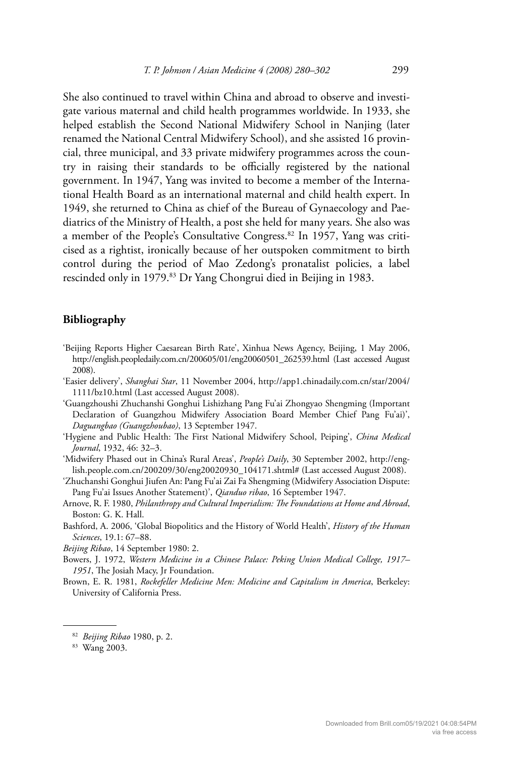She also continued to travel within China and abroad to observe and investigate various maternal and child health programmes worldwide. In 1933, she helped establish the Second National Midwifery School in Nanjing (later renamed the National Central Midwifery School), and she assisted 16 provincial, three municipal, and 33 private midwifery programmes across the country in raising their standards to be officially registered by the national government. In 1947, Yang was invited to become a member of the International Health Board as an international maternal and child health expert. In 1949, she returned to China as chief of the Bureau of Gynaecology and Paediatrics of the Ministry of Health, a post she held for many years. She also was a member of the People's Consultative Congress.82 In 1957, Yang was criticised as a rightist, ironically because of her outspoken commitment to birth control during the period of Mao Zedong's pronatalist policies, a label rescinded only in 1979.<sup>83</sup> Dr Yang Chongrui died in Beijing in 1983.

## **Bibliography**

- 'Beijing Reports Higher Caesarean Birth Rate', Xinhua News Agency, Beijing, 1 May 2006, http://english.peopledaily.com.cn/200605/01/eng20060501\_262539.html (Last accessed August 2008).
- 'Easier delivery', *Shanghai Star*, 11 November 2004, http://app1.chinadaily.com.cn/star/2004/ 1111/bz10.html (Last accessed August 2008).
- 'Guangzhoushi Zhuchanshi Gonghui Lishizhang Pang Fu'ai Zhongyao Shengming (Important Declaration of Guangzhou Midwifery Association Board Member Chief Pang Fu'ai)', *Daguangbao (Guangzhoubao)*, 13 September 1947.
- 'Hygiene and Public Health: The First National Midwifery School, Peiping', *China Medical Journal*, 1932, 46: 32–3.
- 'Midwifery Phased out in China's Rural Areas', *People's Daily*, 30 September 2002, http://english.people.com.cn/200209/30/eng20020930\_104171.shtml# (Last accessed August 2008).
- 'Zhuchanshi Gonghui Jiufen An: Pang Fu'ai Zai Fa Shengming (Midwifery Association Dispute: Pang Fu'ai Issues Another Statement)', *Qianduo ribao*, 16 September 1947.
- Arnove, R. F. 1980, *Philanthropy and Cultural Imperialism: The Foundations at Home and Abroad*, Boston: G. K. Hall.
- Bashford, A. 2006, 'Global Biopolitics and the History of World Health', *History of the Human Sciences*, 19.1: 67–88.
- *Beijing Ribao*, 14 September 1980: 2.
- Bowers, J. 1972, *Western Medicine in a Chinese Palace: Peking Union Medical College, 1917–* 1951, The Josiah Macy, Jr Foundation.
- Brown, E. R. 1981, *Rockefeller Medicine Men: Medicine and Capitalism in America*, Berkeley: University of California Press.

<sup>82</sup> *Beijing Ribao* 1980, p. 2.

<sup>83</sup> Wang 2003.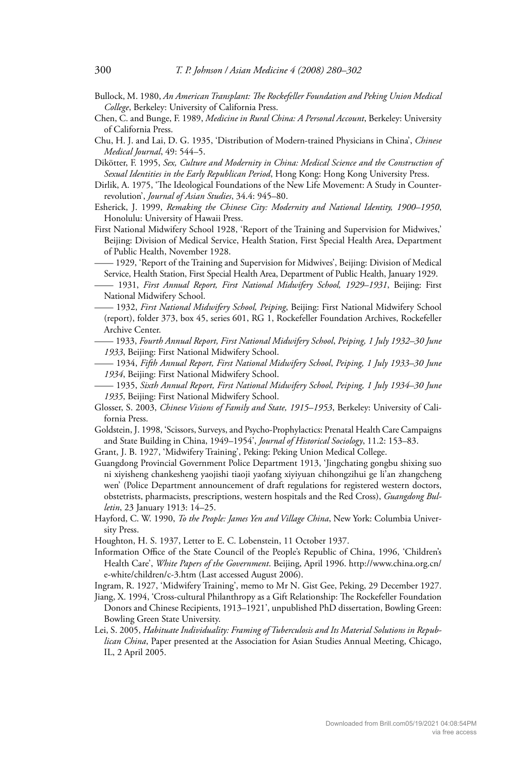- Bullock, M. 1980, An American Transplant: The Rockefeller Foundation and Peking Union Medical *College*, Berkeley: University of California Press.
- Chen, C. and Bunge, F. 1989, *Medicine in Rural China: A Personal Account*, Berkeley: University of California Press.
- Chu, H. J. and Lai, D. G. 1935, 'Distribution of Modern-trained Physicians in China', *Chinese Medical Journal*, 49: 544–5.
- Dikötter, F. 1995, *Sex, Culture and Modernity in China: Medical Science and the Construction of Sexual Identities in the Early Republican Period*, Hong Kong: Hong Kong University Press.
- Dirlik, A. 1975, 'The Ideological Foundations of the New Life Movement: A Study in Counterrevolution', *Journal of Asian Studies*, 34.4: 945–80.
- Esherick, J. 1999, *Remaking the Chinese City: Modernity and National Identity, 1900–1950*, Honolulu: University of Hawaii Press.
- First National Midwifery School 1928, 'Report of the Training and Supervision for Midwives,' Beijing: Division of Medical Service, Health Station, First Special Health Area, Department of Public Health, November 1928.
	- —— 1929, 'Report of the Training and Supervision for Midwives', Beijing: Division of Medical Service, Health Station, First Special Health Area, Department of Public Health, January 1929.
- —— 1931, *First Annual Report, First National Midwifery School, 1929–1931*, Beijing: First National Midwifery School.
- —— 1932, *First National Midwifery School, Peiping*, Beijing: First National Midwifery School (report), folder 373, box 45, series 601, RG 1, Rockefeller Foundation Archives, Rockefeller Archive Center.
- —— 1933, *Fourth Annual Report, First National Midwifery School*, *Peiping, 1 July 1932–30 June 1933*, Beijing: First National Midwifery School.
- —— 1934, *Fifth Annual Report, First National Midwifery School*, *Peiping, 1 July 1933–30 June 1934*, Beijing: First National Midwifery School.
- —— 1935, *Sixth Annual Report, First National Midwifery School, Peiping, 1 July 1934–30 June 1935*, Beijing: First National Midwifery School.
- Glosser, S. 2003, *Chinese Visions of Family and State, 1915–1953*, Berkeley: University of California Press.
- Goldstein, J. 1998, 'Scissors, Surveys, and Psycho-Prophylactics: Prenatal Health Care Campaigns and State Building in China, 1949–1954', *Journal of Historical Sociology*, 11.2: 153–83.
- Grant, J. B. 1927, 'Midwifery Training', Peking: Peking Union Medical College.
- Guangdong Provincial Government Police Department 1913, 'Jingchating gongbu shixing suo ni xiyisheng chankesheng yaojishi tiaoji yaofang xiyiyuan chihongzihui ge li'an zhangcheng wen' (Police Department announcement of draft regulations for registered western doctors, obstetrists, pharmacists, prescriptions, western hospitals and the Red Cross), *Guangdong Bulletin*, 23 January 1913: 14–25.
- Hayford, C. W. 1990, *To the People: James Yen and Village China*, New York: Columbia University Press.
- Houghton, H. S. 1937, Letter to E. C. Lobenstein, 11 October 1937.
- Information Office of the State Council of the People's Republic of China, 1996, 'Children's Health Care', *White Papers of the Government*. Beijing, April 1996. http://www.china.org.cn/ e-white/children/c-3.htm (Last accessed August 2006).
- Ingram, R. 1927, 'Midwifery Training', memo to Mr N. Gist Gee, Peking, 29 December 1927.

Jiang, X. 1994, 'Cross-cultural Philanthropy as a Gift Relationship: The Rockefeller Foundation Donors and Chinese Recipients, 1913–1921', unpublished PhD dissertation, Bowling Green: Bowling Green State University.

Lei, S. 2005, *Habituate Individuality: Framing of Tuberculosis and Its Material Solutions in Republican China*, Paper presented at the Association for Asian Studies Annual Meeting, Chicago, IL, 2 April 2005.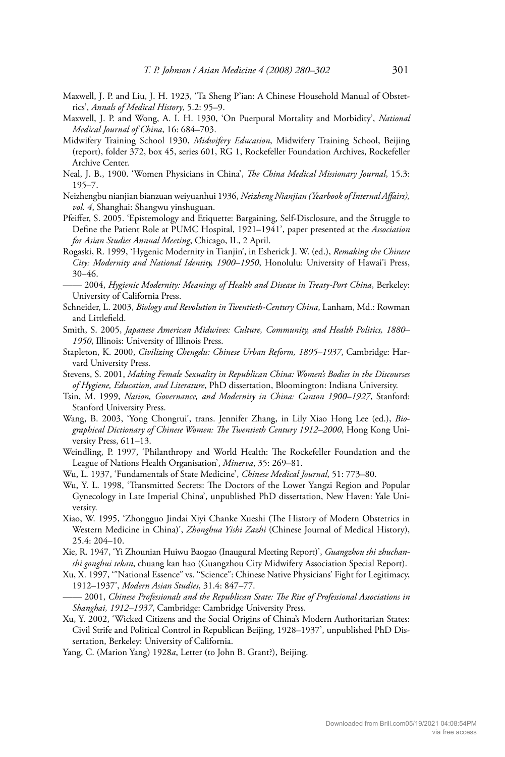- Maxwell, J. P. and Liu, J. H. 1923, 'Ta Sheng P'ian: A Chinese Household Manual of Obstetrics', *Annals of Medical History*, 5.2: 95–9.
- Maxwell, J. P. and Wong, A. I. H. 1930, 'On Puerpural Mortality and Morbidity', *National Medical Journal of China*, 16: 684–703.
- Midwifery Training School 1930, *Midwifery Education*, Midwifery Training School, Beijing (report), folder 372, box 45, series 601, RG 1, Rockefeller Foundation Archives, Rockefeller Archive Center.
- Neal, J. B., 1900. 'Women Physicians in China', *The China Medical Missionary Journal*, 15.3: 195–7.
- Neizhengbu nianjian bianzuan weiyuanhui 1936, *Neizheng Nianjian (Yearbook of Internal Affairs)*, *vol. 4*, Shanghai: Shangwu yinshuguan.
- Pfeiffer, S. 2005. 'Epistemology and Etiquette: Bargaining, Self-Disclosure, and the Struggle to Define the Patient Role at PUMC Hospital, 1921-1941', paper presented at the *Association for Asian Studies Annual Meeting*, Chicago, IL, 2 April.
- Rogaski, R. 1999, 'Hygenic Modernity in Tianjin', in Esherick J. W. (ed.), *Remaking the Chinese City: Modernity and National Identity, 1900–1950*, Honolulu: University of Hawai'i Press, 30–46.
- —— 2004, *Hygienic Modernity: Meanings of Health and Disease in Treaty-Port China*, Berkeley: University of California Press.
- Schneider, L. 2003, *Biology and Revolution in Twentieth-Century China*, Lanham, Md.: Rowman and Littlefield.
- Smith, S. 2005, *Japanese American Midwives: Culture, Community, and Health Politics, 1880– 1950*, Illinois: University of Illinois Press.
- Stapleton, K. 2000, *Civilizing Chengdu: Chinese Urban Reform, 1895–1937*, Cambridge: Harvard University Press.
- Stevens, S. 2001, *Making Female Sexuality in Republican China: Women's Bodies in the Discourses of Hygiene, Education, and Literature*, PhD dissertation, Bloomington: Indiana University.
- Tsin, M. 1999, *Nation, Governance, and Modernity in China: Canton 1900–1927*, Stanford: Stanford University Press.
- Wang, B. 2003, 'Yong Chongrui', trans. Jennifer Zhang, in Lily Xiao Hong Lee (ed.), *Bio*graphical Dictionary of Chinese Women: The Twentieth Century 1912–2000, Hong Kong University Press, 611-13.
- Weindling, P. 1997, 'Philanthropy and World Health: The Rockefeller Foundation and the League of Nations Health Organisation', *Minerva*, 35: 269–81.
- Wu, L. 1937, 'Fundamentals of State Medicine', *Chinese Medical Journal*, 51: 773–80.
- Wu, Y. L. 1998, 'Transmitted Secrets: The Doctors of the Lower Yangzi Region and Popular Gynecology in Late Imperial China', unpublished PhD dissertation, New Haven: Yale University.
- Xiao, W. 1995, 'Zhongguo Jindai Xiyi Chanke Xueshi (The History of Modern Obstetrics in Western Medicine in China)', *Zhonghua Yishi Zazhi* (Chinese Journal of Medical History), 25.4: 204–10.
- Xie, R. 1947, 'Yi Zhounian Huiwu Baogao (Inaugural Meeting Report)', *Guangzhou shi zhuchanshi gonghui tekan*, chuang kan hao (Guangzhou City Midwifery Association Special Report).
- Xu, X. 1997, '"National Essence" vs. "Science": Chinese Native Physicians' Fight for Legitimacy, 1912–1937', *Modern Asian Studies*, 31.4: 847–77.
- —— 2001, *Chinese Professionals and the Republican State: Th e Rise of Professional Associations in Shanghai, 1912–1937*, Cambridge: Cambridge University Press.
- Xu, Y. 2002, 'Wicked Citizens and the Social Origins of China's Modern Authoritarian States: Civil Strife and Political Control in Republican Beijing, 1928–1937', unpublished PhD Dissertation, Berkeley: University of California.
- Yang, C. (Marion Yang) 1928*a*, Letter (to John B. Grant?), Beijing.